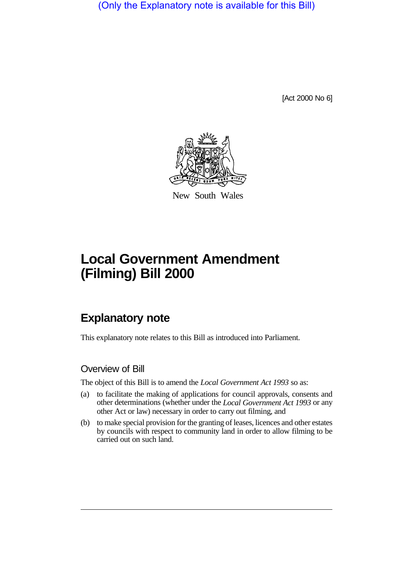(Only the Explanatory note is available for this Bill)

[Act 2000 No 6]



New South Wales

# **Local Government Amendment (Filming) Bill 2000**

## **Explanatory note**

This explanatory note relates to this Bill as introduced into Parliament.

### Overview of Bill

The object of this Bill is to amend the *Local Government Act 1993* so as:

- (a) to facilitate the making of applications for council approvals, consents and other determinations (whether under the *Local Government Act 1993* or any other Act or law) necessary in order to carry out filming, and
- (b) to make special provision for the granting of leases, licences and other estates by councils with respect to community land in order to allow filming to be carried out on such land.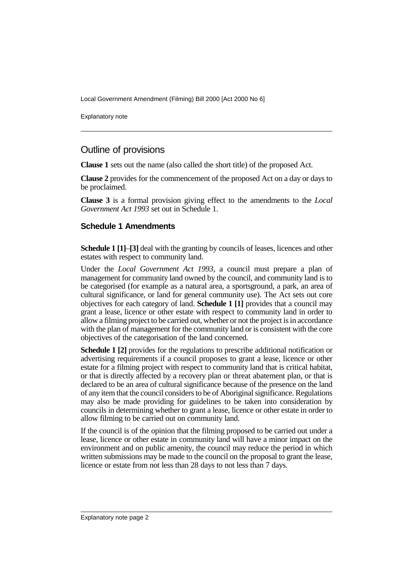Local Government Amendment (Filming) Bill 2000 [Act 2000 No 6]

Explanatory note

#### Outline of provisions

**Clause 1** sets out the name (also called the short title) of the proposed Act.

**Clause 2** provides for the commencement of the proposed Act on a day or days to be proclaimed.

**Clause 3** is a formal provision giving effect to the amendments to the *Local Government Act 1993* set out in Schedule 1.

#### **Schedule 1 Amendments**

**Schedule 1 [1]–[3]** deal with the granting by councils of leases, licences and other estates with respect to community land.

Under the *Local Government Act 1993*, a council must prepare a plan of management for community land owned by the council, and community land is to be categorised (for example as a natural area, a sportsground, a park, an area of cultural significance, or land for general community use). The Act sets out core objectives for each category of land. **Schedule 1 [1]** provides that a council may grant a lease, licence or other estate with respect to community land in order to allow a filming project to be carried out, whether or not the project is in accordance with the plan of management for the community land or is consistent with the core objectives of the categorisation of the land concerned.

**Schedule 1 [2]** provides for the regulations to prescribe additional notification or advertising requirements if a council proposes to grant a lease, licence or other estate for a filming project with respect to community land that is critical habitat, or that is directly affected by a recovery plan or threat abatement plan, or that is declared to be an area of cultural significance because of the presence on the land of any item that the council considers to be of Aboriginal significance. Regulations may also be made providing for guidelines to be taken into consideration by councils in determining whether to grant a lease, licence or other estate in order to allow filming to be carried out on community land.

If the council is of the opinion that the filming proposed to be carried out under a lease, licence or other estate in community land will have a minor impact on the environment and on public amenity, the council may reduce the period in which written submissions may be made to the council on the proposal to grant the lease, licence or estate from not less than 28 days to not less than 7 days.